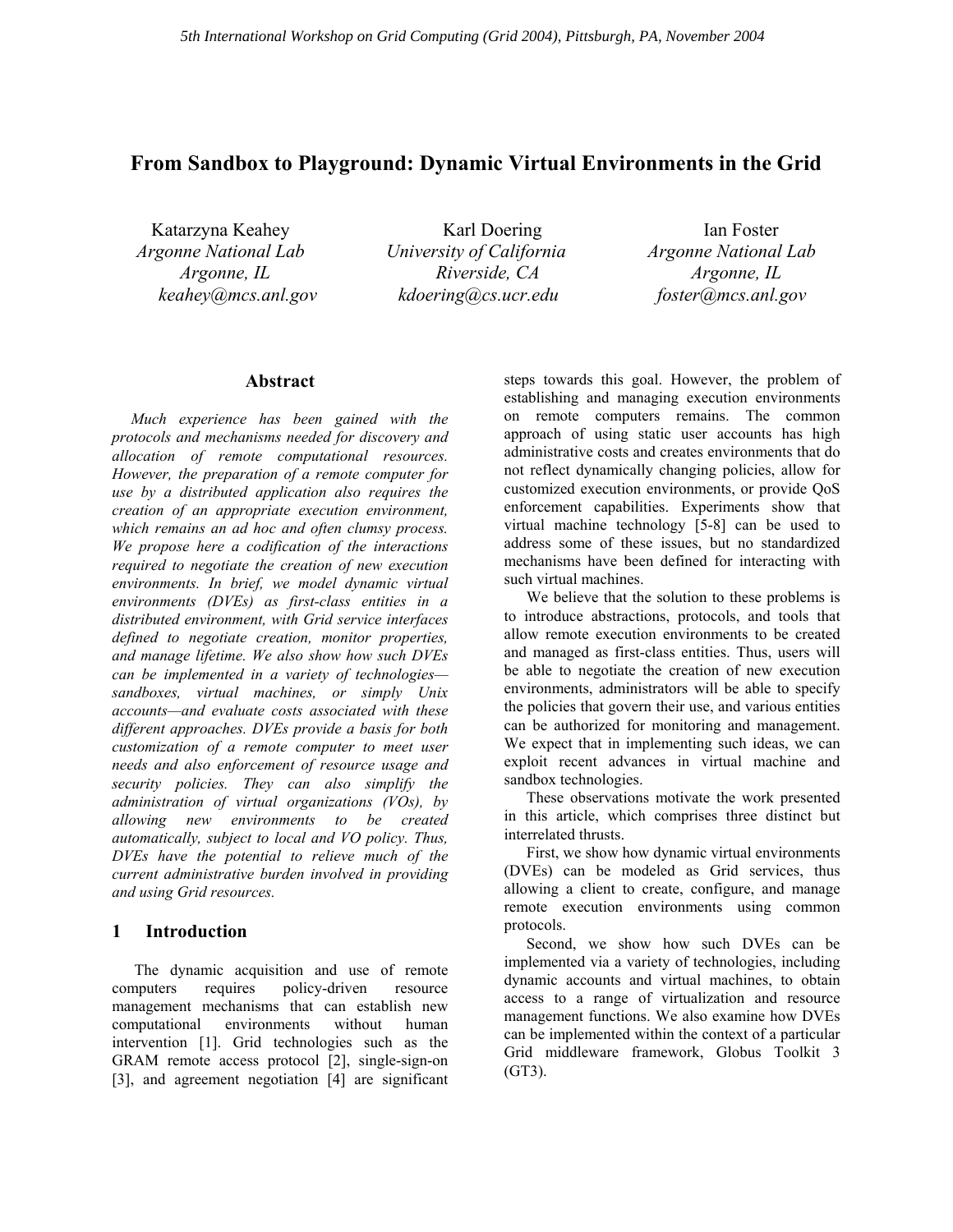# **From Sandbox to Playground: Dynamic Virtual Environments in the Grid**

Katarzyna Keahey *Argonne National Lab Argonne, IL keahey@mcs.anl.gov* 

**Karl Doering** *University of California Riverside, CA kdoering@cs.ucr.edu* 

 Ian Foster *Argonne National Lab Argonne, IL foster@mcs.anl.gov* 

#### **Abstract**

*Much experience has been gained with the protocols and mechanisms needed for discovery and allocation of remote computational resources. However, the preparation of a remote computer for use by a distributed application also requires the creation of an appropriate execution environment, which remains an ad hoc and often clumsy process. We propose here a codification of the interactions required to negotiate the creation of new execution environments. In brief, we model dynamic virtual environments (DVEs) as first-class entities in a distributed environment, with Grid service interfaces defined to negotiate creation, monitor properties, and manage lifetime. We also show how such DVEs can be implemented in a variety of technologies sandboxes, virtual machines, or simply Unix accounts—and evaluate costs associated with these different approaches. DVEs provide a basis for both customization of a remote computer to meet user needs and also enforcement of resource usage and security policies. They can also simplify the administration of virtual organizations (VOs), by allowing new environments to be created automatically, subject to local and VO policy. Thus, DVEs have the potential to relieve much of the current administrative burden involved in providing and using Grid resources.* 

## **1 Introduction**

The dynamic acquisition and use of remote computers requires policy-driven resource management mechanisms that can establish new computational environments without human intervention [1]. Grid technologies such as the GRAM remote access protocol [2], single-sign-on [3], and agreement negotiation [4] are significant

steps towards this goal. However, the problem of establishing and managing execution environments on remote computers remains. The common approach of using static user accounts has high administrative costs and creates environments that do not reflect dynamically changing policies, allow for customized execution environments, or provide QoS enforcement capabilities. Experiments show that virtual machine technology [5-8] can be used to address some of these issues, but no standardized mechanisms have been defined for interacting with such virtual machines.

We believe that the solution to these problems is to introduce abstractions, protocols, and tools that allow remote execution environments to be created and managed as first-class entities. Thus, users will be able to negotiate the creation of new execution environments, administrators will be able to specify the policies that govern their use, and various entities can be authorized for monitoring and management. We expect that in implementing such ideas, we can exploit recent advances in virtual machine and sandbox technologies.

These observations motivate the work presented in this article, which comprises three distinct but interrelated thrusts.

First, we show how dynamic virtual environments (DVEs) can be modeled as Grid services, thus allowing a client to create, configure, and manage remote execution environments using common protocols.

Second, we show how such DVEs can be implemented via a variety of technologies, including dynamic accounts and virtual machines, to obtain access to a range of virtualization and resource management functions. We also examine how DVEs can be implemented within the context of a particular Grid middleware framework, Globus Toolkit 3 (GT3).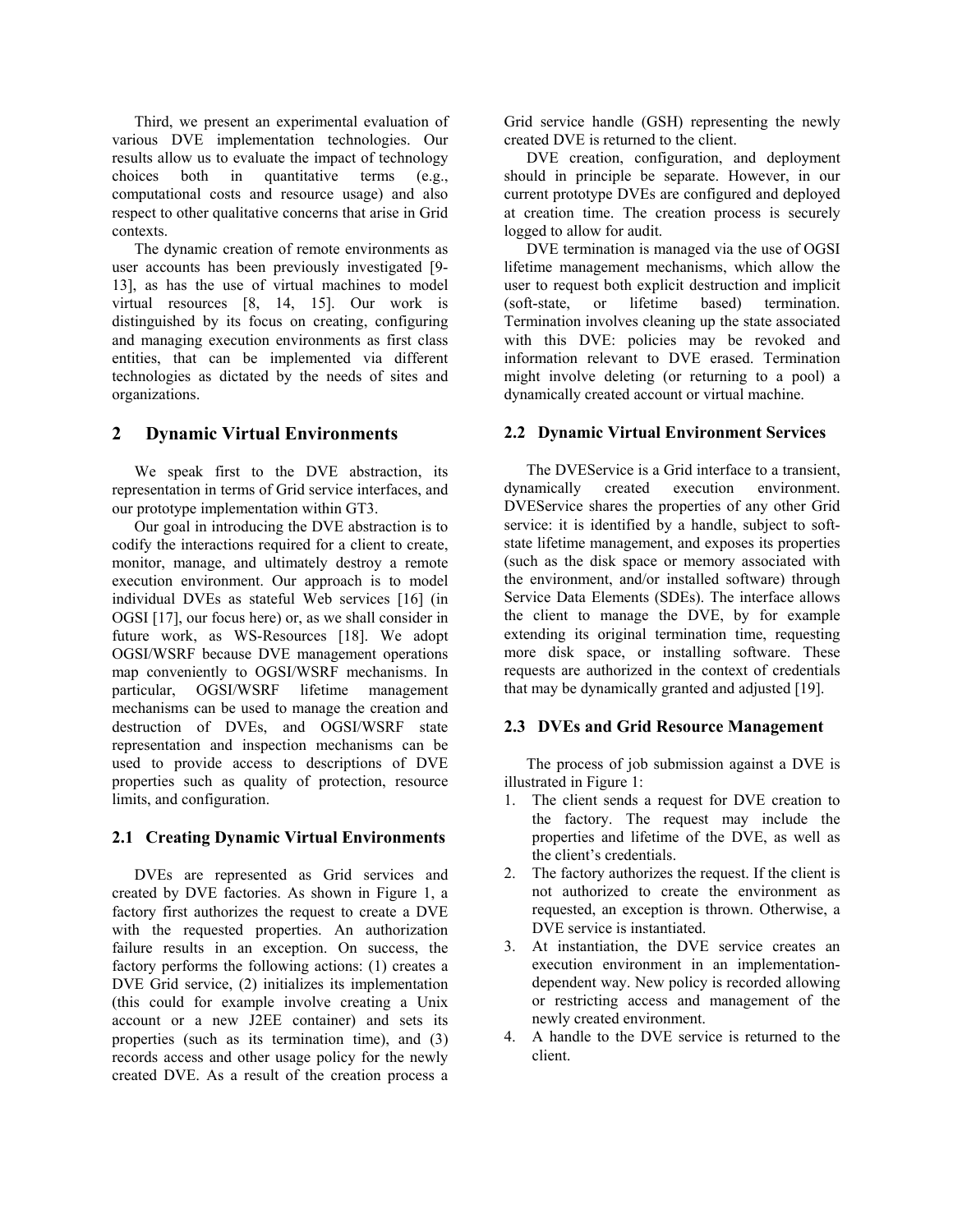Third, we present an experimental evaluation of various DVE implementation technologies. Our results allow us to evaluate the impact of technology choices both in quantitative terms (e.g., computational costs and resource usage) and also respect to other qualitative concerns that arise in Grid contexts.

The dynamic creation of remote environments as user accounts has been previously investigated [9- 13], as has the use of virtual machines to model virtual resources [8, 14, 15]. Our work is distinguished by its focus on creating, configuring and managing execution environments as first class entities, that can be implemented via different technologies as dictated by the needs of sites and organizations.

## **2 Dynamic Virtual Environments**

We speak first to the DVE abstraction, its representation in terms of Grid service interfaces, and our prototype implementation within GT3.

Our goal in introducing the DVE abstraction is to codify the interactions required for a client to create, monitor, manage, and ultimately destroy a remote execution environment. Our approach is to model individual DVEs as stateful Web services [16] (in OGSI [17], our focus here) or, as we shall consider in future work, as WS-Resources [18]. We adopt OGSI/WSRF because DVE management operations map conveniently to OGSI/WSRF mechanisms. In particular, OGSI/WSRF lifetime management mechanisms can be used to manage the creation and destruction of DVEs, and OGSI/WSRF state representation and inspection mechanisms can be used to provide access to descriptions of DVE properties such as quality of protection, resource limits, and configuration.

### **2.1 Creating Dynamic Virtual Environments**

DVEs are represented as Grid services and created by DVE factories. As shown in Figure 1, a factory first authorizes the request to create a DVE with the requested properties. An authorization failure results in an exception. On success, the factory performs the following actions: (1) creates a DVE Grid service, (2) initializes its implementation (this could for example involve creating a Unix account or a new J2EE container) and sets its properties (such as its termination time), and (3) records access and other usage policy for the newly created DVE. As a result of the creation process a Grid service handle (GSH) representing the newly created DVE is returned to the client.

DVE creation, configuration, and deployment should in principle be separate. However, in our current prototype DVEs are configured and deployed at creation time. The creation process is securely logged to allow for audit.

DVE termination is managed via the use of OGSI lifetime management mechanisms, which allow the user to request both explicit destruction and implicit (soft-state, or lifetime based) termination. Termination involves cleaning up the state associated with this DVE: policies may be revoked and information relevant to DVE erased. Termination might involve deleting (or returning to a pool) a dynamically created account or virtual machine.

### **2.2 Dynamic Virtual Environment Services**

The DVEService is a Grid interface to a transient, dynamically created execution environment. DVEService shares the properties of any other Grid service: it is identified by a handle, subject to softstate lifetime management, and exposes its properties (such as the disk space or memory associated with the environment, and/or installed software) through Service Data Elements (SDEs). The interface allows the client to manage the DVE, by for example extending its original termination time, requesting more disk space, or installing software. These requests are authorized in the context of credentials that may be dynamically granted and adjusted [19].

### **2.3 DVEs and Grid Resource Management**

The process of job submission against a DVE is illustrated in Figure 1:

- 1. The client sends a request for DVE creation to the factory. The request may include the properties and lifetime of the DVE, as well as the client's credentials.
- 2. The factory authorizes the request. If the client is not authorized to create the environment as requested, an exception is thrown. Otherwise, a DVE service is instantiated.
- 3. At instantiation, the DVE service creates an execution environment in an implementationdependent way. New policy is recorded allowing or restricting access and management of the newly created environment.
- 4. A handle to the DVE service is returned to the client.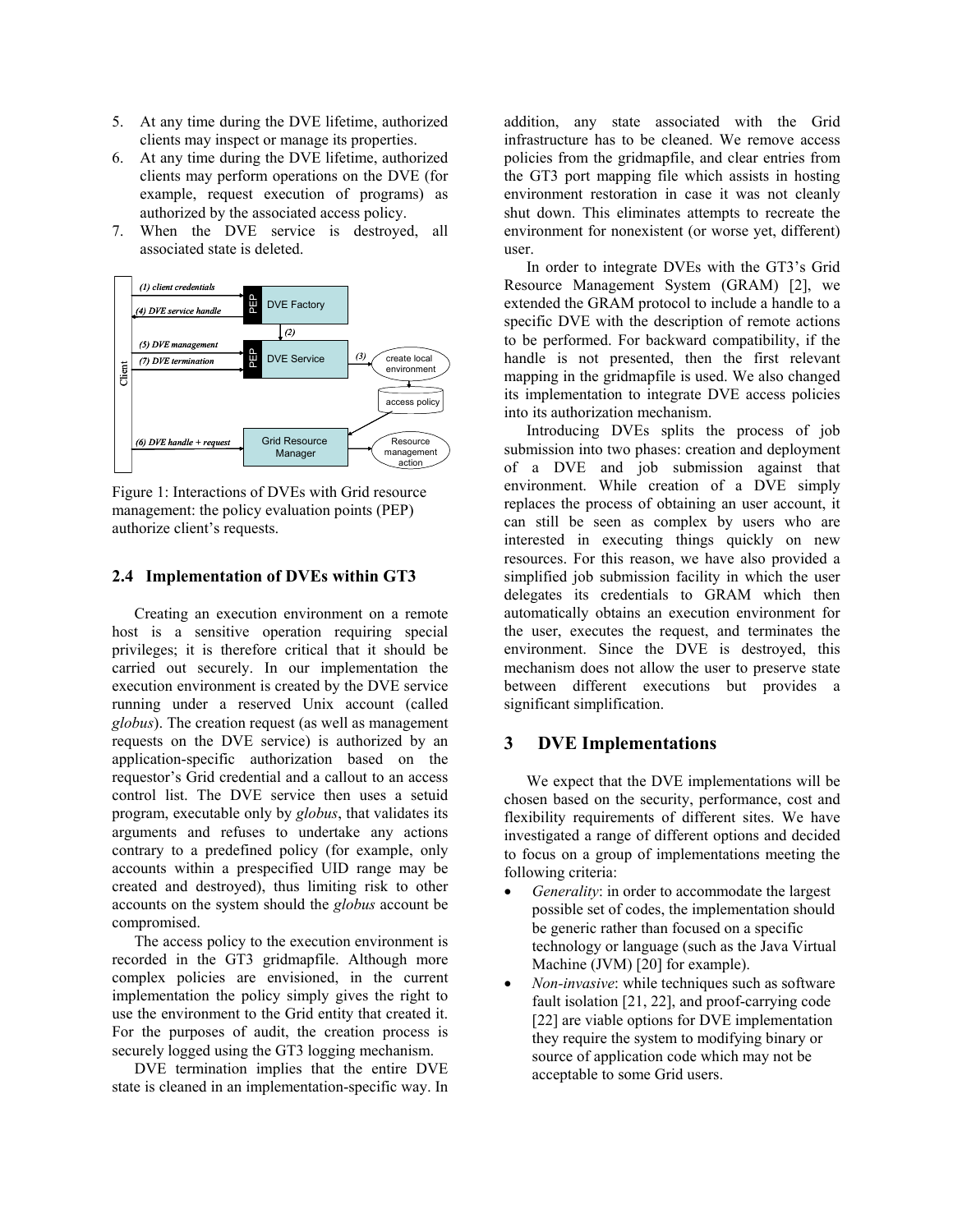- 5. At any time during the DVE lifetime, authorized clients may inspect or manage its properties.
- 6. At any time during the DVE lifetime, authorized clients may perform operations on the DVE (for example, request execution of programs) as authorized by the associated access policy.
- 7. When the DVE service is destroyed, all associated state is deleted.



Figure 1: Interactions of DVEs with Grid resource management: the policy evaluation points (PEP) authorize client's requests.

#### **2.4 Implementation of DVEs within GT3**

Creating an execution environment on a remote host is a sensitive operation requiring special privileges; it is therefore critical that it should be carried out securely. In our implementation the execution environment is created by the DVE service running under a reserved Unix account (called *globus*). The creation request (as well as management requests on the DVE service) is authorized by an application-specific authorization based on the requestor's Grid credential and a callout to an access control list. The DVE service then uses a setuid program, executable only by *globus*, that validates its arguments and refuses to undertake any actions contrary to a predefined policy (for example, only accounts within a prespecified UID range may be created and destroyed), thus limiting risk to other accounts on the system should the *globus* account be compromised.

The access policy to the execution environment is recorded in the GT3 gridmapfile. Although more complex policies are envisioned, in the current implementation the policy simply gives the right to use the environment to the Grid entity that created it. For the purposes of audit, the creation process is securely logged using the GT3 logging mechanism.

DVE termination implies that the entire DVE state is cleaned in an implementation-specific way. In addition, any state associated with the Grid infrastructure has to be cleaned. We remove access policies from the gridmapfile, and clear entries from the GT3 port mapping file which assists in hosting environment restoration in case it was not cleanly shut down. This eliminates attempts to recreate the environment for nonexistent (or worse yet, different) user.

In order to integrate DVEs with the GT3's Grid Resource Management System (GRAM) [2], we extended the GRAM protocol to include a handle to a specific DVE with the description of remote actions to be performed. For backward compatibility, if the handle is not presented, then the first relevant mapping in the gridmapfile is used. We also changed its implementation to integrate DVE access policies into its authorization mechanism.

Introducing DVEs splits the process of job submission into two phases: creation and deployment of a DVE and job submission against that environment. While creation of a DVE simply replaces the process of obtaining an user account, it can still be seen as complex by users who are interested in executing things quickly on new resources. For this reason, we have also provided a simplified job submission facility in which the user delegates its credentials to GRAM which then automatically obtains an execution environment for the user, executes the request, and terminates the environment. Since the DVE is destroyed, this mechanism does not allow the user to preserve state between different executions but provides a significant simplification.

#### **3 DVE Implementations**

We expect that the DVE implementations will be chosen based on the security, performance, cost and flexibility requirements of different sites. We have investigated a range of different options and decided to focus on a group of implementations meeting the following criteria:

- *Generality*: in order to accommodate the largest possible set of codes, the implementation should be generic rather than focused on a specific technology or language (such as the Java Virtual Machine (JVM) [20] for example).
- *Non-invasive*: while techniques such as software fault isolation [21, 22], and proof-carrying code [22] are viable options for DVE implementation they require the system to modifying binary or source of application code which may not be acceptable to some Grid users.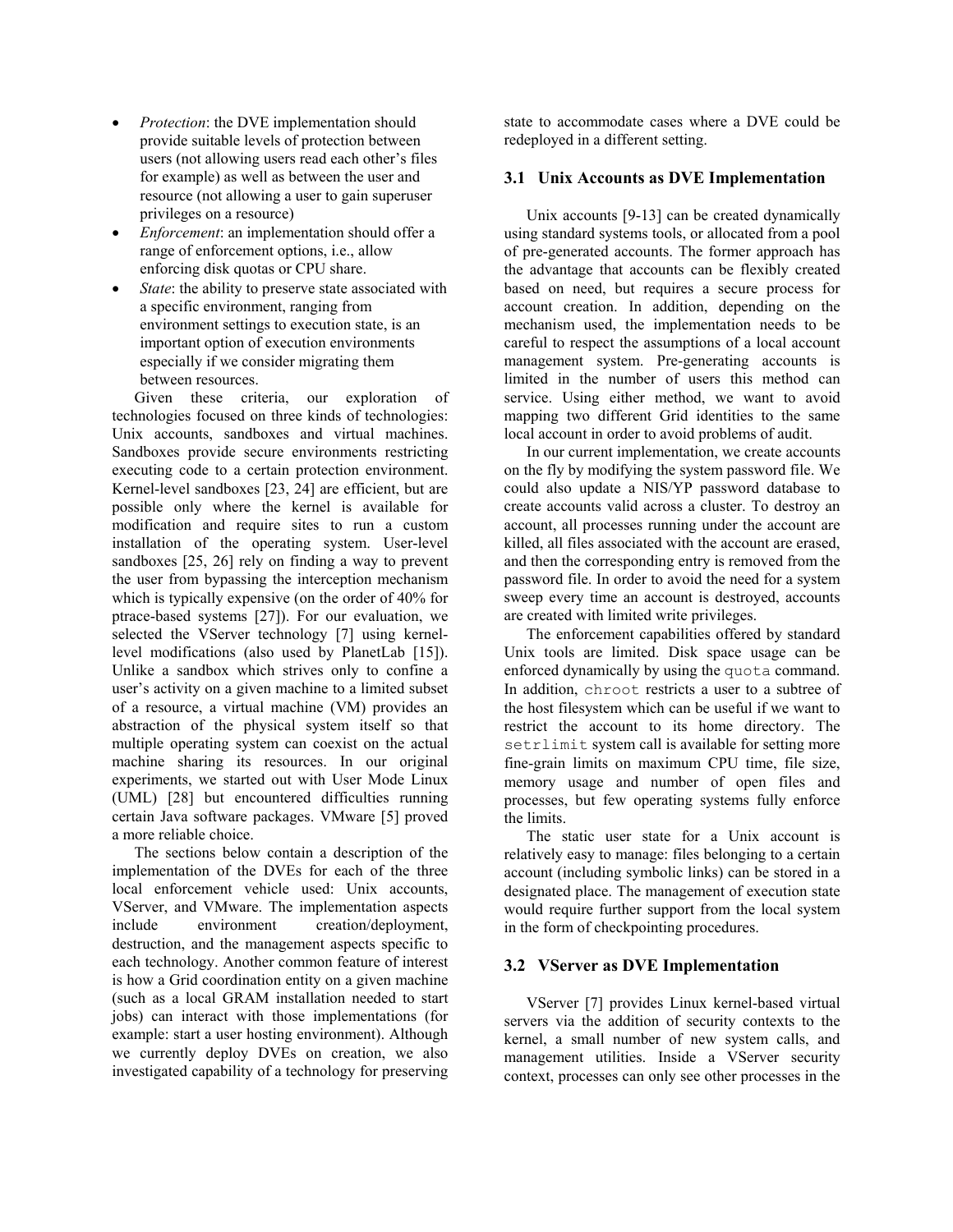- *Protection*: the DVE implementation should provide suitable levels of protection between users (not allowing users read each other's files for example) as well as between the user and resource (not allowing a user to gain superuser privileges on a resource)
- *Enforcement*: an implementation should offer a range of enforcement options, i.e., allow enforcing disk quotas or CPU share.
- State: the ability to preserve state associated with a specific environment, ranging from environment settings to execution state, is an important option of execution environments especially if we consider migrating them between resources.

Given these criteria, our exploration of technologies focused on three kinds of technologies: Unix accounts, sandboxes and virtual machines. Sandboxes provide secure environments restricting executing code to a certain protection environment. Kernel-level sandboxes [23, 24] are efficient, but are possible only where the kernel is available for modification and require sites to run a custom installation of the operating system. User-level sandboxes [25, 26] rely on finding a way to prevent the user from bypassing the interception mechanism which is typically expensive (on the order of 40% for ptrace-based systems [27]). For our evaluation, we selected the VServer technology [7] using kernellevel modifications (also used by PlanetLab [15]). Unlike a sandbox which strives only to confine a user's activity on a given machine to a limited subset of a resource, a virtual machine (VM) provides an abstraction of the physical system itself so that multiple operating system can coexist on the actual machine sharing its resources. In our original experiments, we started out with User Mode Linux (UML) [28] but encountered difficulties running certain Java software packages. VMware [5] proved a more reliable choice.

The sections below contain a description of the implementation of the DVEs for each of the three local enforcement vehicle used: Unix accounts, VServer, and VMware. The implementation aspects include environment creation/deployment, destruction, and the management aspects specific to each technology. Another common feature of interest is how a Grid coordination entity on a given machine (such as a local GRAM installation needed to start jobs) can interact with those implementations (for example: start a user hosting environment). Although we currently deploy DVEs on creation, we also investigated capability of a technology for preserving

state to accommodate cases where a DVE could be redeployed in a different setting.

### **3.1 Unix Accounts as DVE Implementation**

Unix accounts [9-13] can be created dynamically using standard systems tools, or allocated from a pool of pre-generated accounts. The former approach has the advantage that accounts can be flexibly created based on need, but requires a secure process for account creation. In addition, depending on the mechanism used, the implementation needs to be careful to respect the assumptions of a local account management system. Pre-generating accounts is limited in the number of users this method can service. Using either method, we want to avoid mapping two different Grid identities to the same local account in order to avoid problems of audit.

In our current implementation, we create accounts on the fly by modifying the system password file. We could also update a NIS/YP password database to create accounts valid across a cluster. To destroy an account, all processes running under the account are killed, all files associated with the account are erased, and then the corresponding entry is removed from the password file. In order to avoid the need for a system sweep every time an account is destroyed, accounts are created with limited write privileges.

The enforcement capabilities offered by standard Unix tools are limited. Disk space usage can be enforced dynamically by using the quota command. In addition, chroot restricts a user to a subtree of the host filesystem which can be useful if we want to restrict the account to its home directory. The setrlimit system call is available for setting more fine-grain limits on maximum CPU time, file size, memory usage and number of open files and processes, but few operating systems fully enforce the limits.

The static user state for a Unix account is relatively easy to manage: files belonging to a certain account (including symbolic links) can be stored in a designated place. The management of execution state would require further support from the local system in the form of checkpointing procedures.

## **3.2 VServer as DVE Implementation**

VServer [7] provides Linux kernel-based virtual servers via the addition of security contexts to the kernel, a small number of new system calls, and management utilities. Inside a VServer security context, processes can only see other processes in the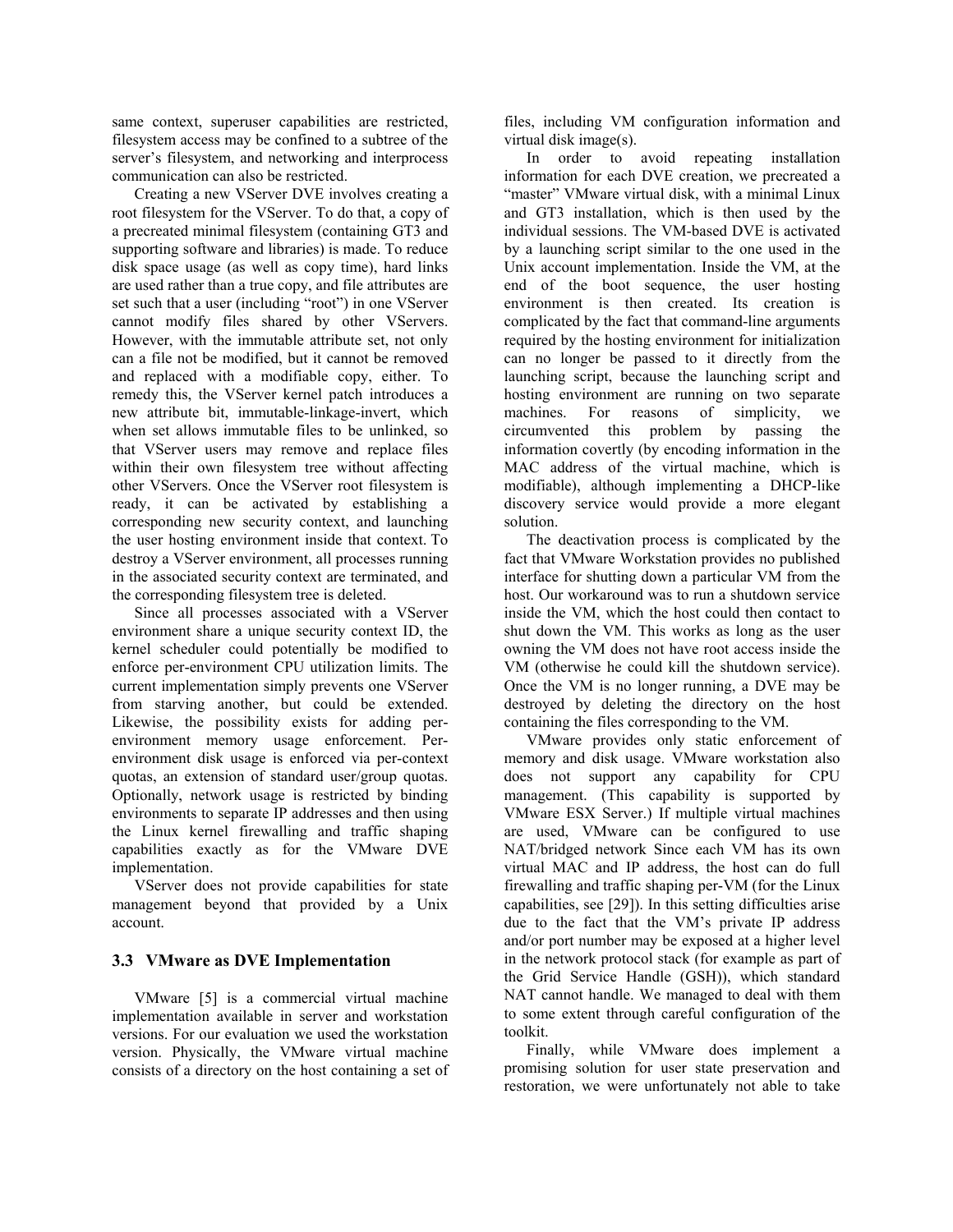same context, superuser capabilities are restricted, filesystem access may be confined to a subtree of the server's filesystem, and networking and interprocess communication can also be restricted.

Creating a new VServer DVE involves creating a root filesystem for the VServer. To do that, a copy of a precreated minimal filesystem (containing GT3 and supporting software and libraries) is made. To reduce disk space usage (as well as copy time), hard links are used rather than a true copy, and file attributes are set such that a user (including "root") in one VServer cannot modify files shared by other VServers. However, with the immutable attribute set, not only can a file not be modified, but it cannot be removed and replaced with a modifiable copy, either. To remedy this, the VServer kernel patch introduces a new attribute bit, immutable-linkage-invert, which when set allows immutable files to be unlinked, so that VServer users may remove and replace files within their own filesystem tree without affecting other VServers. Once the VServer root filesystem is ready, it can be activated by establishing a corresponding new security context, and launching the user hosting environment inside that context. To destroy a VServer environment, all processes running in the associated security context are terminated, and the corresponding filesystem tree is deleted.

Since all processes associated with a VServer environment share a unique security context ID, the kernel scheduler could potentially be modified to enforce per-environment CPU utilization limits. The current implementation simply prevents one VServer from starving another, but could be extended. Likewise, the possibility exists for adding perenvironment memory usage enforcement. Perenvironment disk usage is enforced via per-context quotas, an extension of standard user/group quotas. Optionally, network usage is restricted by binding environments to separate IP addresses and then using the Linux kernel firewalling and traffic shaping capabilities exactly as for the VMware DVE implementation.

VServer does not provide capabilities for state management beyond that provided by a Unix account.

#### **3.3 VMware as DVE Implementation**

VMware [5] is a commercial virtual machine implementation available in server and workstation versions. For our evaluation we used the workstation version. Physically, the VMware virtual machine consists of a directory on the host containing a set of files, including VM configuration information and virtual disk image(s).

In order to avoid repeating installation information for each DVE creation, we precreated a "master" VMware virtual disk, with a minimal Linux and GT3 installation, which is then used by the individual sessions. The VM-based DVE is activated by a launching script similar to the one used in the Unix account implementation. Inside the VM, at the end of the boot sequence, the user hosting environment is then created. Its creation is complicated by the fact that command-line arguments required by the hosting environment for initialization can no longer be passed to it directly from the launching script, because the launching script and hosting environment are running on two separate machines. For reasons of simplicity, we circumvented this problem by passing the information covertly (by encoding information in the MAC address of the virtual machine, which is modifiable), although implementing a DHCP-like discovery service would provide a more elegant solution.

The deactivation process is complicated by the fact that VMware Workstation provides no published interface for shutting down a particular VM from the host. Our workaround was to run a shutdown service inside the VM, which the host could then contact to shut down the VM. This works as long as the user owning the VM does not have root access inside the VM (otherwise he could kill the shutdown service). Once the VM is no longer running, a DVE may be destroyed by deleting the directory on the host containing the files corresponding to the VM.

VMware provides only static enforcement of memory and disk usage. VMware workstation also does not support any capability for CPU management. (This capability is supported by VMware ESX Server.) If multiple virtual machines are used, VMware can be configured to use NAT/bridged network Since each VM has its own virtual MAC and IP address, the host can do full firewalling and traffic shaping per-VM (for the Linux capabilities, see [29]). In this setting difficulties arise due to the fact that the VM's private IP address and/or port number may be exposed at a higher level in the network protocol stack (for example as part of the Grid Service Handle (GSH)), which standard NAT cannot handle. We managed to deal with them to some extent through careful configuration of the toolkit.

Finally, while VMware does implement a promising solution for user state preservation and restoration, we were unfortunately not able to take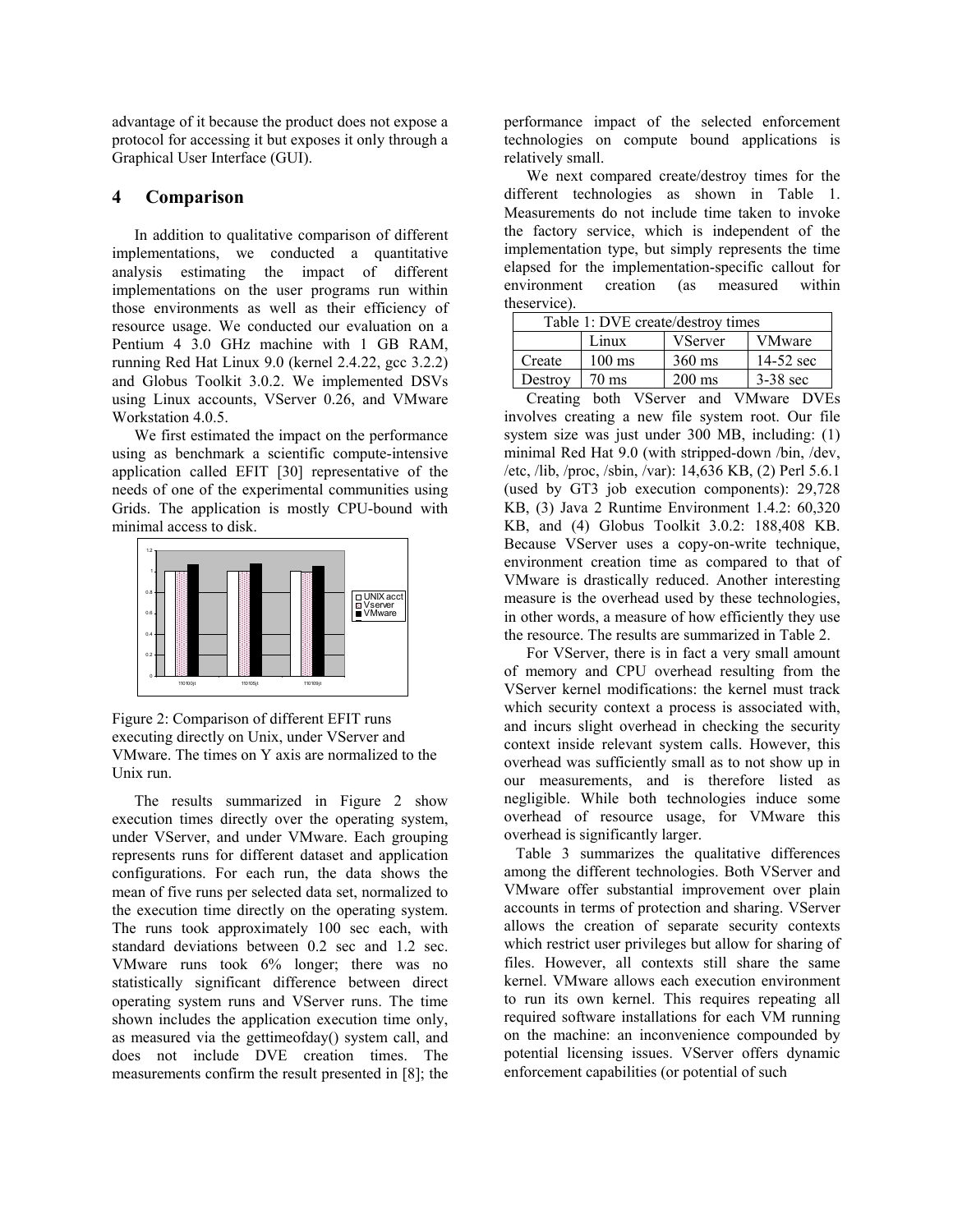advantage of it because the product does not expose a protocol for accessing it but exposes it only through a Graphical User Interface (GUI).

## **4 Comparison**

In addition to qualitative comparison of different implementations, we conducted a quantitative analysis estimating the impact of different implementations on the user programs run within those environments as well as their efficiency of resource usage. We conducted our evaluation on a Pentium 4 3.0 GHz machine with 1 GB RAM, running Red Hat Linux 9.0 (kernel 2.4.22, gcc 3.2.2) and Globus Toolkit 3.0.2. We implemented DSVs using Linux accounts, VServer 0.26, and VMware Workstation 4.0.5.

We first estimated the impact on the performance using as benchmark a scientific compute-intensive application called EFIT [30] representative of the needs of one of the experimental communities using Grids. The application is mostly CPU-bound with minimal access to disk.



Figure 2: Comparison of different EFIT runs executing directly on Unix, under VServer and VMware. The times on Y axis are normalized to the Unix run.

The results summarized in Figure 2 show execution times directly over the operating system, under VServer, and under VMware. Each grouping represents runs for different dataset and application configurations. For each run, the data shows the mean of five runs per selected data set, normalized to the execution time directly on the operating system. The runs took approximately 100 sec each, with standard deviations between 0.2 sec and 1.2 sec. VMware runs took 6% longer; there was no statistically significant difference between direct operating system runs and VServer runs. The time shown includes the application execution time only, as measured via the gettimeofday() system call, and does not include DVE creation times. The measurements confirm the result presented in [8]; the

performance impact of the selected enforcement technologies on compute bound applications is relatively small.

We next compared create/destroy times for the different technologies as shown in Table 1. Measurements do not include time taken to invoke the factory service, which is independent of the implementation type, but simply represents the time elapsed for the implementation-specific callout for environment creation (as measured within theservice).

| Table 1: DVE create/destroy times |                  |                  |             |  |  |
|-----------------------------------|------------------|------------------|-------------|--|--|
|                                   | Linux            | <b>VServer</b>   | VMware      |  |  |
| Create                            | $100 \text{ ms}$ | $360 \text{ ms}$ | $14-52$ sec |  |  |
| Destroy                           | 70 ms            | $200 \text{ ms}$ | $3-38$ sec  |  |  |

Creating both VServer and VMware DVEs involves creating a new file system root. Our file system size was just under 300 MB, including: (1) minimal Red Hat 9.0 (with stripped-down /bin, /dev, /etc, /lib, /proc, /sbin, /var): 14,636 KB, (2) Perl 5.6.1 (used by GT3 job execution components): 29,728 KB, (3) Java 2 Runtime Environment 1.4.2: 60,320 KB, and (4) Globus Toolkit 3.0.2: 188,408 KB. Because VServer uses a copy-on-write technique, environment creation time as compared to that of VMware is drastically reduced. Another interesting measure is the overhead used by these technologies, in other words, a measure of how efficiently they use the resource. The results are summarized in Table 2.

For VServer, there is in fact a very small amount of memory and CPU overhead resulting from the VServer kernel modifications: the kernel must track which security context a process is associated with, and incurs slight overhead in checking the security context inside relevant system calls. However, this overhead was sufficiently small as to not show up in our measurements, and is therefore listed as negligible. While both technologies induce some overhead of resource usage, for VMware this overhead is significantly larger.

 Table 3 summarizes the qualitative differences among the different technologies. Both VServer and VMware offer substantial improvement over plain accounts in terms of protection and sharing. VServer allows the creation of separate security contexts which restrict user privileges but allow for sharing of files. However, all contexts still share the same kernel. VMware allows each execution environment to run its own kernel. This requires repeating all required software installations for each VM running on the machine: an inconvenience compounded by potential licensing issues. VServer offers dynamic enforcement capabilities (or potential of such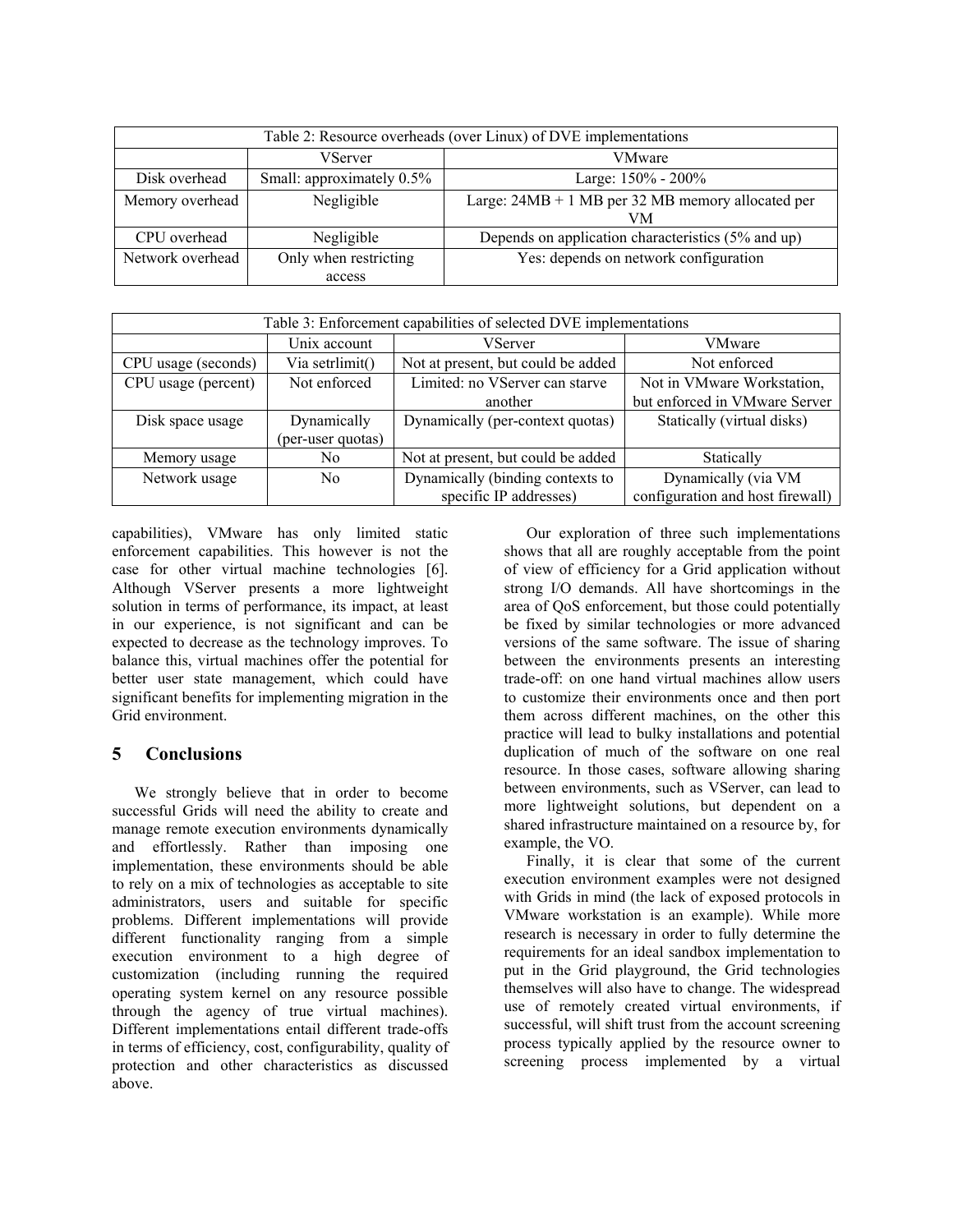| Table 2: Resource overheads (over Linux) of DVE implementations |                           |                                                     |  |  |
|-----------------------------------------------------------------|---------------------------|-----------------------------------------------------|--|--|
|                                                                 | <b>VServer</b>            | VMware                                              |  |  |
| Disk overhead                                                   | Small: approximately 0.5% | Large: 150% - 200%                                  |  |  |
| Memory overhead                                                 | Negligible                | Large: $24MB + 1 MB$ per 32 MB memory allocated per |  |  |
|                                                                 |                           | VМ                                                  |  |  |
| CPU overhead                                                    | Negligible                | Depends on application characteristics (5% and up)  |  |  |
| Network overhead                                                | Only when restricting     | Yes: depends on network configuration               |  |  |
|                                                                 | access                    |                                                     |  |  |

| Table 3: Enforcement capabilities of selected DVE implementations |                   |                                    |                                  |  |  |
|-------------------------------------------------------------------|-------------------|------------------------------------|----------------------------------|--|--|
|                                                                   | Unix account      | VServer                            | VMware                           |  |  |
| CPU usage (seconds)                                               | Via setrlimit()   | Not at present, but could be added | Not enforced                     |  |  |
| CPU usage (percent)                                               | Not enforced      | Limited: no VServer can starve     | Not in VMware Workstation,       |  |  |
|                                                                   |                   | another                            | but enforced in VMware Server    |  |  |
| Disk space usage                                                  | Dynamically       | Dynamically (per-context quotas)   | Statically (virtual disks)       |  |  |
|                                                                   | (per-user quotas) |                                    |                                  |  |  |
| Memory usage                                                      | No.               | Not at present, but could be added | Statically                       |  |  |
| Network usage                                                     | N <sub>0</sub>    | Dynamically (binding contexts to   | Dynamically (via VM              |  |  |
|                                                                   |                   | specific IP addresses)             | configuration and host firewall) |  |  |

capabilities), VMware has only limited static enforcement capabilities. This however is not the case for other virtual machine technologies [6]. Although VServer presents a more lightweight solution in terms of performance, its impact, at least in our experience, is not significant and can be expected to decrease as the technology improves. To balance this, virtual machines offer the potential for better user state management, which could have significant benefits for implementing migration in the Grid environment.

# **5 Conclusions**

We strongly believe that in order to become successful Grids will need the ability to create and manage remote execution environments dynamically and effortlessly. Rather than imposing one implementation, these environments should be able to rely on a mix of technologies as acceptable to site administrators, users and suitable for specific problems. Different implementations will provide different functionality ranging from a simple execution environment to a high degree of customization (including running the required operating system kernel on any resource possible through the agency of true virtual machines). Different implementations entail different trade-offs in terms of efficiency, cost, configurability, quality of protection and other characteristics as discussed above.

Our exploration of three such implementations shows that all are roughly acceptable from the point of view of efficiency for a Grid application without strong I/O demands. All have shortcomings in the area of QoS enforcement, but those could potentially be fixed by similar technologies or more advanced versions of the same software. The issue of sharing between the environments presents an interesting trade-off: on one hand virtual machines allow users to customize their environments once and then port them across different machines, on the other this practice will lead to bulky installations and potential duplication of much of the software on one real resource. In those cases, software allowing sharing between environments, such as VServer, can lead to more lightweight solutions, but dependent on a shared infrastructure maintained on a resource by, for example, the VO.

Finally, it is clear that some of the current execution environment examples were not designed with Grids in mind (the lack of exposed protocols in VMware workstation is an example). While more research is necessary in order to fully determine the requirements for an ideal sandbox implementation to put in the Grid playground, the Grid technologies themselves will also have to change. The widespread use of remotely created virtual environments, if successful, will shift trust from the account screening process typically applied by the resource owner to screening process implemented by a virtual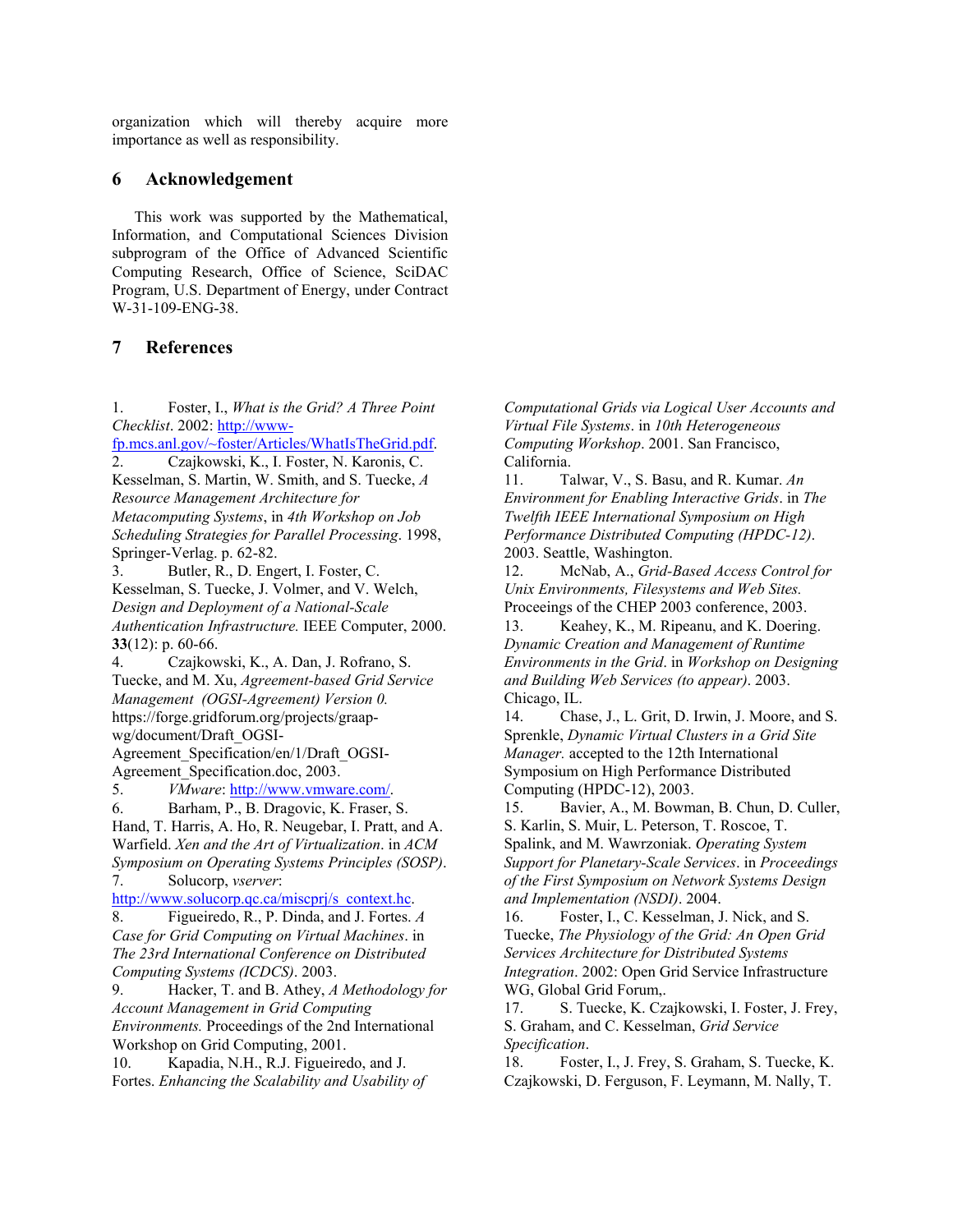organization which will thereby acquire more importance as well as responsibility.

## **6 Acknowledgement**

This work was supported by the Mathematical, Information, and Computational Sciences Division subprogram of the Office of Advanced Scientific Computing Research, Office of Science, SciDAC Program, U.S. Department of Energy, under Contract W-31-109-ENG-38.

## **7 References**

1. Foster, I., *What is the Grid? A Three Point Checklist*. 2002: http://www-

fp.mcs.anl.gov/~foster/Articles/WhatIsTheGrid.pdf.<br>2. Czaikowski, K., I. Foster, N. Karonis, C. 2. Czajkowski, K., I. Foster, N. Karonis, C.

Kesselman, S. Martin, W. Smith, and S. Tuecke, *A Resource Management Architecture for Metacomputing Systems*, in *4th Workshop on Job Scheduling Strategies for Parallel Processing*. 1998, Springer-Verlag. p. 62-82.

3. Butler, R., D. Engert, I. Foster, C. Kesselman, S. Tuecke, J. Volmer, and V. Welch, *Design and Deployment of a National-Scale Authentication Infrastructure.* IEEE Computer, 2000. **33**(12): p. 60-66.

4. Czajkowski, K., A. Dan, J. Rofrano, S. Tuecke, and M. Xu, *Agreement-based Grid Service Management (OGSI-Agreement) Version 0.* https://forge.gridforum.org/projects/graapwg/document/Draft\_OGSI-

Agreement Specification/en/1/Draft OGSI-Agreement Specification.doc, 2003.

5. *VMware*: http://www.vmware.com/.

6. Barham, P., B. Dragovic, K. Fraser, S.

Hand, T. Harris, A. Ho, R. Neugebar, I. Pratt, and A. Warfield. *Xen and the Art of Virtualization*. in *ACM Symposium on Operating Systems Principles (SOSP)*. 7. Solucorp, *vserver*:

http://www.solucorp.qc.ca/miscprj/s\_context.hc.

8. Figueiredo, R., P. Dinda, and J. Fortes. *A Case for Grid Computing on Virtual Machines*. in *The 23rd International Conference on Distributed Computing Systems (ICDCS)*. 2003.

9. Hacker, T. and B. Athey, *A Methodology for Account Management in Grid Computing Environments.* Proceedings of the 2nd International Workshop on Grid Computing, 2001.

10. Kapadia, N.H., R.J. Figueiredo, and J. Fortes. *Enhancing the Scalability and Usability of*  *Computational Grids via Logical User Accounts and Virtual File Systems*. in *10th Heterogeneous Computing Workshop*. 2001. San Francisco, California.

11. Talwar, V., S. Basu, and R. Kumar. *An Environment for Enabling Interactive Grids*. in *The Twelfth IEEE International Symposium on High Performance Distributed Computing (HPDC-12)*. 2003. Seattle, Washington.

12. McNab, A., *Grid-Based Access Control for Unix Environments, Filesystems and Web Sites.* Proceeings of the CHEP 2003 conference, 2003.

13. Keahey, K., M. Ripeanu, and K. Doering. *Dynamic Creation and Management of Runtime Environments in the Grid*. in *Workshop on Designing and Building Web Services (to appear)*. 2003. Chicago, IL.

14. Chase, J., L. Grit, D. Irwin, J. Moore, and S. Sprenkle, *Dynamic Virtual Clusters in a Grid Site Manager.* accepted to the 12th International Symposium on High Performance Distributed Computing (HPDC-12), 2003.

15. Bavier, A., M. Bowman, B. Chun, D. Culler, S. Karlin, S. Muir, L. Peterson, T. Roscoe, T. Spalink, and M. Wawrzoniak. *Operating System Support for Planetary-Scale Services*. in *Proceedings of the First Symposium on Network Systems Design and Implementation (NSDI)*. 2004.

16. Foster, I., C. Kesselman, J. Nick, and S. Tuecke, *The Physiology of the Grid: An Open Grid Services Architecture for Distributed Systems Integration*. 2002: Open Grid Service Infrastructure WG, Global Grid Forum,.

17. S. Tuecke, K. Czajkowski, I. Foster, J. Frey, S. Graham, and C. Kesselman, *Grid Service Specification*.

18. Foster, I., J. Frey, S. Graham, S. Tuecke, K. Czajkowski, D. Ferguson, F. Leymann, M. Nally, T.